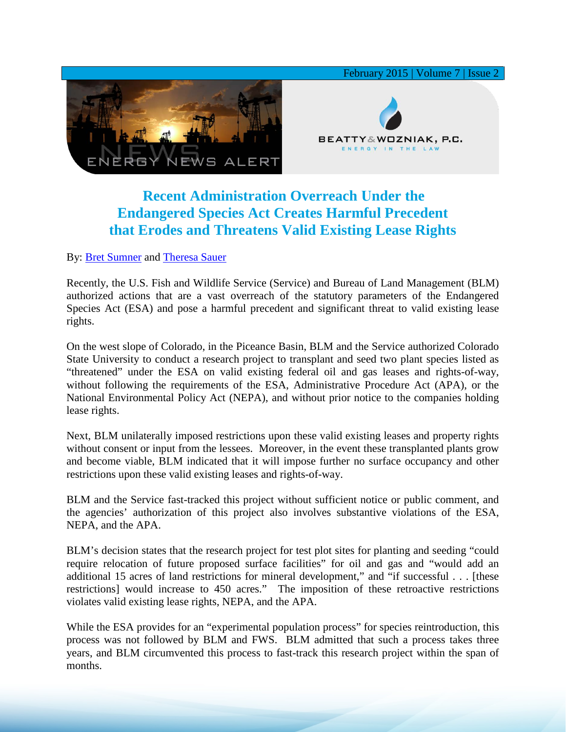

## **Recent Administration Overreach Under the Endangered Species Act Creates Harmful Precedent that Erodes and Threatens Valid Existing Lease Rights**

By: [Bret Sumner](http://www.bwenergylaw.com/#!bret-sumner/c1ij1) and [Theresa Sauer](http://www.bwenergylaw.com/#!theresa-sauer/cgz0)

Recently, the U.S. Fish and Wildlife Service (Service) and Bureau of Land Management (BLM) authorized actions that are a vast overreach of the statutory parameters of the Endangered Species Act (ESA) and pose a harmful precedent and significant threat to valid existing lease rights.

On the west slope of Colorado, in the Piceance Basin, BLM and the Service authorized Colorado State University to conduct a research project to transplant and seed two plant species listed as "threatened" under the ESA on valid existing federal oil and gas leases and rights-of-way, without following the requirements of the ESA, Administrative Procedure Act (APA), or the National Environmental Policy Act (NEPA), and without prior notice to the companies holding lease rights.

Next, BLM unilaterally imposed restrictions upon these valid existing leases and property rights without consent or input from the lessees. Moreover, in the event these transplanted plants grow and become viable, BLM indicated that it will impose further no surface occupancy and other restrictions upon these valid existing leases and rights-of-way.

BLM and the Service fast-tracked this project without sufficient notice or public comment, and the agencies' authorization of this project also involves substantive violations of the ESA, NEPA, and the APA.

BLM's decision states that the research project for test plot sites for planting and seeding "could require relocation of future proposed surface facilities" for oil and gas and "would add an additional 15 acres of land restrictions for mineral development," and "if successful . . . [these restrictions] would increase to 450 acres." The imposition of these retroactive restrictions violates valid existing lease rights, NEPA, and the APA.

While the ESA provides for an "experimental population process" for species reintroduction, this process was not followed by BLM and FWS. BLM admitted that such a process takes three years, and BLM circumvented this process to fast-track this research project within the span of months.